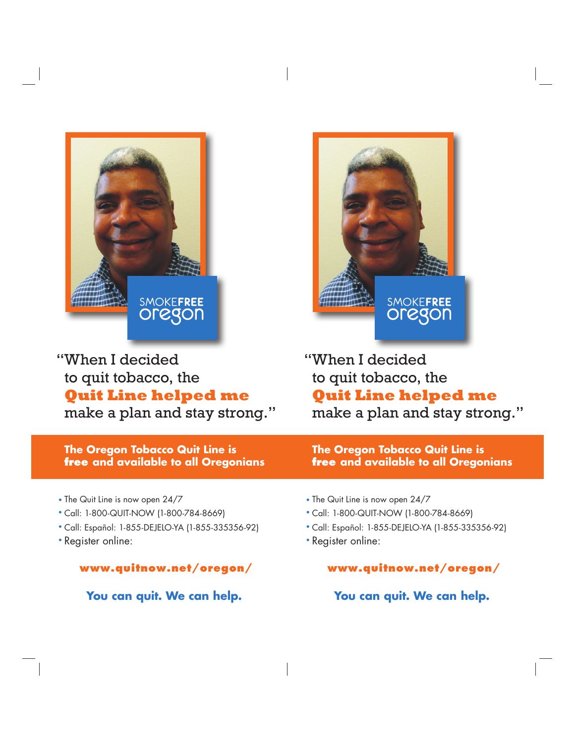

"When I decided to quit tobacco, the **Quit Line helped me** make a plan and stay strong." **SMOKEFREE** 

"When I decided to quit tobacco, the **Quit Line helped me** make a plan and stay strong."

**The Oregon Tobacco Quit Line is free and available to all Oregonians**

• The Quit Line is now open 24/7

- Call: 1-800-QUIT-NOW (1-800-784-8669) •
- Call: Español: 1-855-DEJELO-YA (1-855-335356-92) •
- Register online: •

**www.quitnow.net/oregon/**

 **You can quit. We can help.**

- The Quit Line is now open 24/7
- Call: 1-800-QUIT-NOW (1-800-784-8669) •

**The Oregon Tobacco Quit Line is**

**free and available to all Oregonians**

- Call: Español: 1-855-DEJELO-YA (1-855-335356-92) •
- Register online: •

**www.quitnow.net/oregon/**

 **You can quit. We can help.**